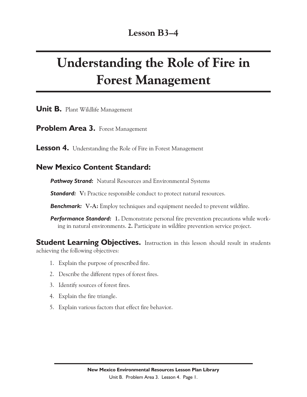# Understanding the Role of Fire in Forest Management

**Unit B.** Plant Wildlife Management

**Problem Area 3. Forest Management** 

**Lesson 4.** Understanding the Role of Fire in Forest Management

#### **New Mexico Content Standard:**

**Pathway Strand:** Natural Resources and Environmental Systems

**Standard:** V: Practice responsible conduct to protect natural resources.

*Benchmark:* **V-A:** Employ techniques and equipment needed to prevent wildfire.

**Performance Standard:** 1. Demonstrate personal fire prevention precautions while working in natural environments. **2.** Participate in wildfire prevention service project.

**Student Learning Objectives.** Instruction in this lesson should result in students achieving the following objectives:

- 1. Explain the purpose of prescribed fire.
- 2. Describe the different types of forest fires.
- 3. Identify sources of forest fires.
- 4. Explain the fire triangle.
- 5. Explain various factors that effect fire behavior.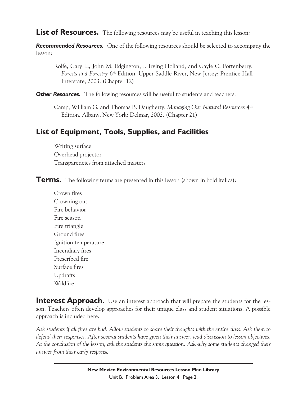<span id="page-1-0"></span>List of Resources. The following resources may be useful in teaching this lesson:

**Recommended Resources.** One of the following resources should be selected to accompany the lesson:

Rolfe, Gary L., John M. Edgington, I. Irving Holland, and Gayle C. Fortenberry. *Forests and Forestry* 6th Edition. Upper Saddle River, New Jersey: Prentice Hall Interstate, 2003. (Chapter 12)

**Other Resources.** The following resources will be useful to students and teachers:

Camp, William G. and Thomas B. Daugherty. *Managing Our Natural Resources* 4th Edition*.* Albany, New York: Delmar, 2002. (Chapter 21)

## **List of Equipment, Tools, Supplies, and Facilities**

Writing surface Overhead projector Transparencies from attached masters

**Terms.** The following terms are presented in this lesson (shown in bold italics):

[Crown fires](#page-3-0) [Crowning out](#page-3-0) [Fire behavior](#page-4-0) [Fire season](#page-4-0) [Fire triangle](#page-4-0) [Ground fires](#page-3-0) [Ignition temperature](#page-4-0) [Incendiary fires](#page-3-0) [Prescribed fire](#page-2-0) [Surface fires](#page-3-0) [Updrafts](#page-5-0) [Wildfire](#page-2-0)

**Interest Approach.** Use an interest approach that will prepare the students for the lesson. Teachers often develop approaches for their unique class and student situations. A possible approach is included here.

*Ask students if all fires are bad. Allow students to share their thoughts with the entire class. Ask them to defend their responses. After several students have given their answer, lead discussion to lesson objectives. At the conclusion of the lesson, ask the students the same question. Ask why some students changed their answer from their early response.*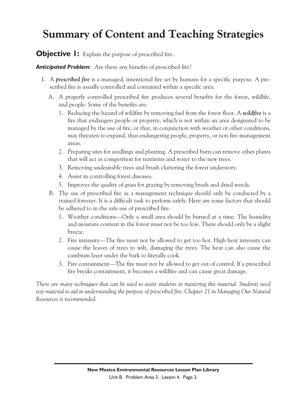# <span id="page-2-0"></span>Summary of Content and Teaching Strategies

**Objective 1:** Explain the purpose of prescribed fire.

*Anticipated Problem:* Are there any benefits of prescribed fire?

- I. A *[prescribed](#page-1-0) [fire](#page-1-0)* is a managed, intentional fire set by humans for a specific purpose. A prescribed fire is usually controlled and contained within a specific area.
	- A. A properly controlled prescribed fire produces several benefits for the forest, wildlife, and people. Some of the benefits are:
		- 1. Reducing the hazard of wildfire by removing fuel from the forest floor. A *[wildfire](#page-1-0)* is a fire that endangers people or property, which is not within an area designated to be managed by the use of fire, or that, in conjunction with weather or other conditions, may threaten to expand, thus endangering people, property, or non fire-management areas.
		- 2. Preparing sites for seedlings and planting. A prescribed burn can remove other plants that will act as competition for nutrients and water to the new trees.
		- 3. Removing undesirable trees and brush cluttering the forest understory.
		- 4. Assist in controlling forest diseases.
		- 5. Improves the quality of grass for grazing by removing brush and dried weeds.
	- B. The use of prescribed fire as a management technique should only be conducted by a trained forester. It is a difficult task to perform safely. Here are some factors that should be adhered to in the safe use of prescribed fire.
		- 1. Weather conditions—Only a small area should be burned at a time. The humidity and moisture content in the forest must not be too low. There should only be a slight breeze.
		- 2. Fire intensity—The fire must not be allowed to get too hot. High heat intensity can cause the leaves of trees to wilt, damaging the trees. The heat can also cause the cambium layer under the bark to literally cook.
		- 3. Fire containment—The fire must not be allowed to get out of control. If a prescribed fire breaks containment, it becomes a wildfire and can cause great damage.

*There are many techniques that can be used to assist students in mastering this material. Students need text material to aid in understanding the purpose of prescribed fire. Chapter 21 in Managing Our Natural Resources is recommended.*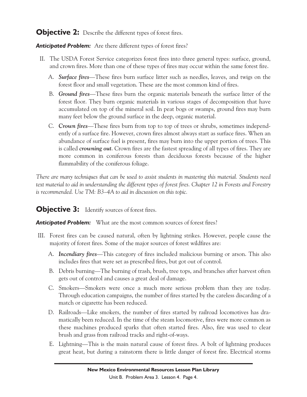#### <span id="page-3-0"></span>**Objective 2:** Describe the different types of forest fires.

*Anticipated Problem:* Are there different types of forest fires?

- II. The USDA Forest Service categorizes forest fires into three general types: surface, ground, and crown fires. More than one of these types of fires may occur within the same forest fire.
	- A. *[Surface fires](#page-1-0)*—These fires burn surface litter such as needles, leaves, and twigs on the forest floor and small vegetation. These are the most common kind of fires.
	- B. *[Ground fires](#page-1-0)*—These fires burn the organic materials beneath the surface litter of the forest floor. They burn organic materials in various stages of decomposition that have accumulated on top of the mineral soil. In peat bogs or swamps, ground fires may burn many feet below the ground surface in the deep, organic material.
	- C. *[Crown fires](#page-1-0)*—These fires burn from top to top of trees or shrubs, sometimes independently of a surface fire. However, crown fires almost always start as surface fires. When an abundance of surface fuel is present, fires may burn into the upper portion of trees. This is called *[crowning out](#page-1-0)*. Crown fires are the fastest spreading of all types of fires. They are more common in coniferous forests than deciduous forests because of the higher flammability of the coniferous foliage.

*There are many techniques that can be used to assist students in mastering this material. Students need text material to aid in understanding the different types of forest fires. Chapter 12 in Forests and Forestry is recommended. Use TM: B3–4A to aid in discussion on this topic.*

#### **Objective 3:** Identify sources of forest fires.

#### *Anticipated Problem:* What are the most common sources of forest fires?

- III. Forest fires can be caused natural, often by lightning strikes. However, people cause the majority of forest fires. Some of the major sources of forest wildfires are:
	- A. *[Incendiary fires](#page-1-0)*—This category of fires included malicious burning or arson. This also includes fires that were set as prescribed fires, but got out of control.
	- B. Debris burning—The burning of trash, brush, tree tops, and branches after harvest often gets out of control and causes a great deal of damage.
	- C. Smokers—Smokers were once a much more serious problem than they are today. Through education campaigns, the number of fires started by the careless discarding of a match or cigarette has been reduced.
	- D. Railroads—Like smokers, the number of fires started by railroad locomotives has dramatically been reduced. In the time of the steam locomotive, fires were more common as these machines produced sparks that often started fires. Also, fire was used to clear brush and grass from railroad tracks and right-of-ways.
	- E. Lightning—This is the main natural cause of forest fires. A bolt of lightning produces great heat, but during a rainstorm there is little danger of forest fire. Electrical storms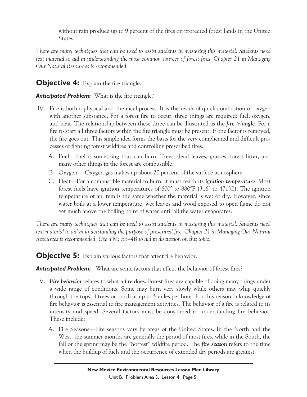without rain produce up to 9 percent of the fires on protected forest lands in the United States.

<span id="page-4-0"></span>*There are many techniques that can be used to assist students in mastering this material. Students need text material to aid in understanding the most common sources of forest fires. Chapter 21 in Managing Our Natural Resources is recommended.*

### **Objective 4:** Explain the fire triangle.

#### *Anticipated Problem:* What is the fire triangle?

- IV. Fire is both a physical and chemical process. It is the result of quick combustion of oxygen with another substance. For a forest fire to occur, three things are required: fuel, oxygen, and heat. The relationship between these three can be illustrated as the *[fire triangle](#page-1-0)*. For a fire to start all three factors within the fire triangle must be present. If one factor is removed, the fire goes out. This simple idea forms the basis for the very complicated and difficult processes of fighting forest wildfires and controlling prescribed fires.
	- A. Fuel—Fuel is something that can burn. Trees, dead leaves, grasses, forest litter, and many other things in the forest are combustible.
	- B. Oxygen— Oxygen gas makes up about 20 percent of the surface atmosphere.
	- C. Heat—For a combustible material to burn, it must reach its *[ignition temperature](#page-1-0)*. Most forest fuels have ignition temperatures of 600° to 880°F (316° to 471°C). The ignition temperature of an item is the same whether the material is wet or dry. However, since water boils at a lower temperature, wet leaves and wood exposed to open flame do not get much above the boiling point of water until all the water evaporates.

*There are many techniques that can be used to assist students in mastering this material. Students need text material to aid in understanding the purpose of prescribed fire. Chapter 21 in Managing Our Natural Resources is recommended. Use TM: B3–4B to aid in discussion on this topic.*

**Objective 5:** Explain various factors that affect fire behavior.

*Anticipated Problem:* What are some factors that affect the behavior of forest fires?

- V. *[Fire behavior](#page-1-0)* relates to what a fire does. Forest fires are capable of doing many things under a wide range of conditions. Some may burn very slowly while others may whip quickly through the tops of trees or brush at up to 5 miles per hour. For this reason, a knowledge of fire behavior is essential to fire management activities. The behavior of a fire is related to its intensity and speed. Several factors must be considered in understanding fire behavior. These include:
	- A. Fire Seasons—Fire seasons vary by areas of the United States. In the North and the West, the summer months are generally the period of most fires, while in the South, the fall or the spring may be the "hottest" wildfire period. The *[fire season](#page-1-0)* refers to the time when the buildup of fuels and the occurrence of extended dry periods are greatest.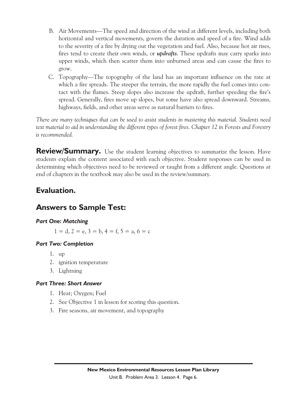- <span id="page-5-0"></span>B. Air Movements—The speed and direction of the wind at different levels, including both horizontal and vertical movements, govern the duration and speed of a fire. Wind adds to the severity of a fire by drying out the vegetation and fuel. Also, because hot air rises, fires tend to create their own winds, or *[updrafts](#page-1-0)*. These updrafts may carry sparks into upper winds, which then scatter them into unburned areas and can cause the fires to grow.
- C. Topography—The topography of the land has an important influence on the rate at which a fire spreads. The steeper the terrain, the more rapidly the fuel comes into contact with the flames. Steep slopes also increase the updraft, further speeding the fire's spread. Generally, fires move up slopes, but some have also spread downward. Streams, highways, fields, and other areas serve as natural barriers to fires.

*There are many techniques that can be used to assist students in mastering this material. Students need text material to aid in understanding the different types of forest fires. Chapter 12 in Forests and Forestry is recommended.*

**Review/Summary.** Use the student learning objectives to summarize the lesson. Have students explain the content associated with each objective. Student responses can be used in determining which objectives need to be reviewed or taught from a different angle. Questions at end of chapters in the textbook may also be used in the review/summary.

### **Evaluation.**

### **Answers to Sample Test:**

#### *Part One: Matching*

 $1 = d$ ,  $2 = e$ ,  $3 = b$ ,  $4 = f$ ,  $5 = a$ ,  $6 = c$ 

#### *Part Two: Completion*

- 1. up
- 2. ignition temperature
- 3. Lightning

#### *Part Three: Short Answer*

- 1. Heat; Oxygen; Fuel
- 2. See Objective 1 in lesson for scoring this question.
- 3. Fire seasons, air movement, and topography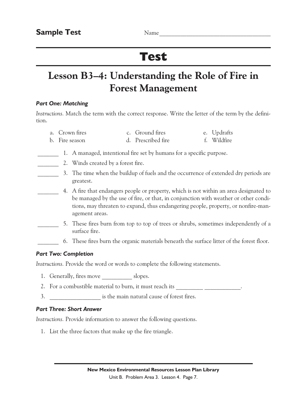# Test

# Lesson B3–4: Understanding the Role of Fire in Forest Management

#### *Part One: Matching*

*Instructions.* Match the term with the correct response. Write the letter of the term by the definition.

| a. Crown fires | c. Ground fires    | e. Updrafts |
|----------------|--------------------|-------------|
| b. Fire season | d. Prescribed fire | f. Wildfire |

- 1. A managed, intentional fire set by humans for a specific purpose.
	- 2. Winds created by a forest fire.
- 3. The time when the buildup of fuels and the occurrence of extended dry periods are greatest.
	- \_\_\_\_\_\_\_ 4. A fire that endangers people or property, which is not within an area designated to be managed by the use of fire, or that, in conjunction with weather or other conditions, may threaten to expand, thus endangering people, property, or nonfire-management areas.
- \_\_\_\_\_\_\_ 5. These fires burn from top to top of trees or shrubs, sometimes independently of a surface fire.
	- \_\_\_\_\_\_\_ 6. These fires burn the organic materials beneath the surface litter of the forest floor.

#### *Part Two: Completion*

*Instructions.* Provide the word or words to complete the following statements.

- 1. Generally, fires move slopes.
- 2. For a combustible material to burn, it must reach its \_\_\_\_\_\_\_\_\_\_\_\_\_\_\_\_\_\_\_\_\_\_.
- 3. \_\_\_\_\_\_\_\_\_\_\_\_\_\_\_\_\_ is the main natural cause of forest fires.

#### *Part Three: Short Answer*

*Instructions.* Provide information to answer the following questions.

1. List the three factors that make up the fire triangle.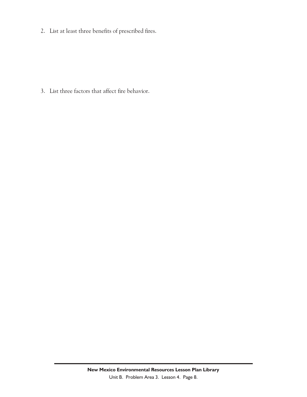2. List at least three benefits of prescribed fires.

3. List three factors that affect fire behavior.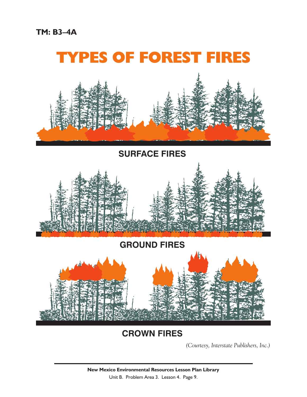

# TYPES OF FOREST FIRES



## **SURFACE FIRES**



# **GROUND FIRES**



# **CROWN FIRES**

*(Courtesy, Interstate Publishers, Inc.)*